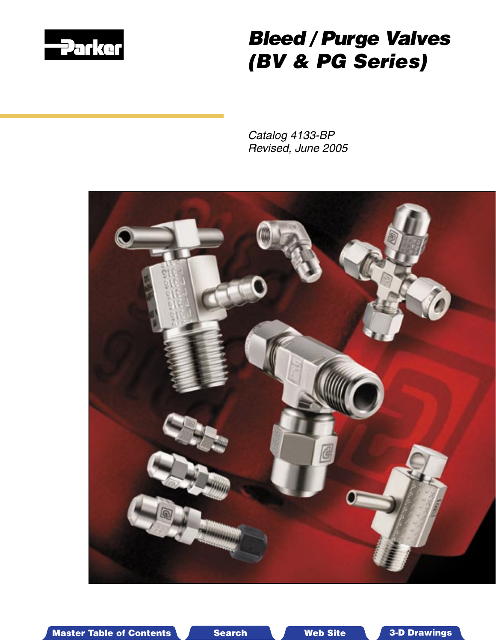

# Bleed / Purge Valves (BV & PG Series)

Catalog 4133-BP Revised, June 2005



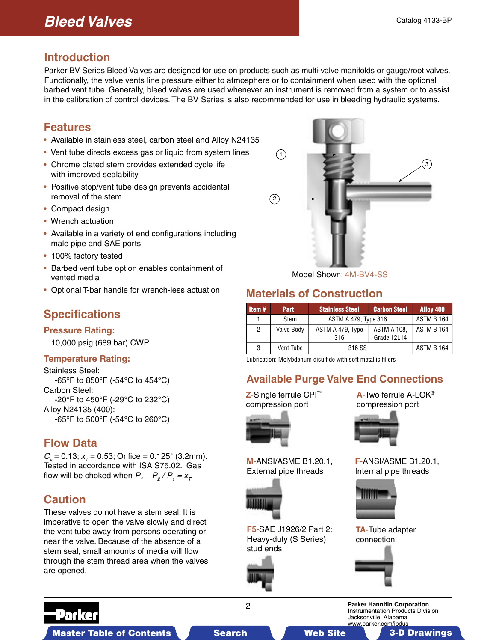# **Bleed Valves**

#### **Introduction**

Parker BV Series Bleed Valves are designed for use on products such as multi-valve manifolds or gauge/root valves. Functionally, the valve vents line pressure either to atmosphere or to containment when used with the optional barbed vent tube. Generally, bleed valves are used whenever an instrument is removed from a system or to assist in the calibration of control devices. The BV Series is also recommended for use in bleeding hydraulic systems.

### **Features**

- Available in stainless steel, carbon steel and Alloy N24135
- Vent tube directs excess gas or liquid from system lines
- Chrome plated stem provides extended cycle life with improved sealability
- Positive stop/vent tube design prevents accidental removal of the stem
- Compact design
- Wrench actuation
- Available in a variety of end configurations including male pipe and SAE ports
- 100% factory tested
- Barbed vent tube option enables containment of vented media
- Optional T-bar handle for wrench-less actuation

# **Specifications**

#### **Pressure Rating:**

10,000 psig (689 bar) CWP

#### **Temperature Rating:**

Stainless Steel: -65°F to 850°F (-54°C to 454°C) Carbon Steel: -20°F to 450°F (-29°C to 232°C) Alloy N24135 (400): -65°F to 500°F (-54°C to 260°C)

### **Flow Data**

 $C_v = 0.13$ ;  $x_\tau = 0.53$ ; Orifice = 0.125" (3.2mm). Tested in accordance with ISA S75.02. Gas flow will be choked when  $P_1 - P_2 / P_1 = x_T$ 

# **Caution**

These valves do not have a stem seal. It is imperative to open the valve slowly and direct the vent tube away from persons operating or near the valve. Because of the absence of a stem seal, small amounts of media will flow through the stem thread area when the valves are opened.



Model Shown: 4M-BV4-SS

# **Materials of Construction**

| Item $#$ | Part       | <b>Stainless Steel</b>  | <b>Carbon Steel</b>               | Alloy 400         |
|----------|------------|-------------------------|-----------------------------------|-------------------|
|          | Stem       | ASTM A 479, Type 316    | ASTM B 164                        |                   |
| 2        | Valve Body | ASTM A 479, Type<br>316 | <b>ASTM A 108.</b><br>Grade 12L14 | ASTM B 164        |
| 3        | Vent Tube  | 316 SS                  |                                   | <b>ASTM B 164</b> |

Lubrication: Molybdenum disulfide with soft metallic fillers

### **Available Purge Valve End Connections**

**Z**-Single ferrule CPI™ compression port



**M**-ANSI/ASME B1.20.1, External pipe threads



**F5**-SAE J1926/2 Part 2: Heavy-duty (S Series) stud ends



**A**-Two ferrule A-LOK® compression port



**F**-ANSI/ASME B1.20.1, Internal pipe threads







2 **Parker Hannifin Corporation** Instrumentation Products Division Jacksonville, Alabama www.parker.com/ipdus

Master Table of Contents **3. Dearch Master Table of Contents 3-D Drawings** Search Master Table of Contents 3-D Drawings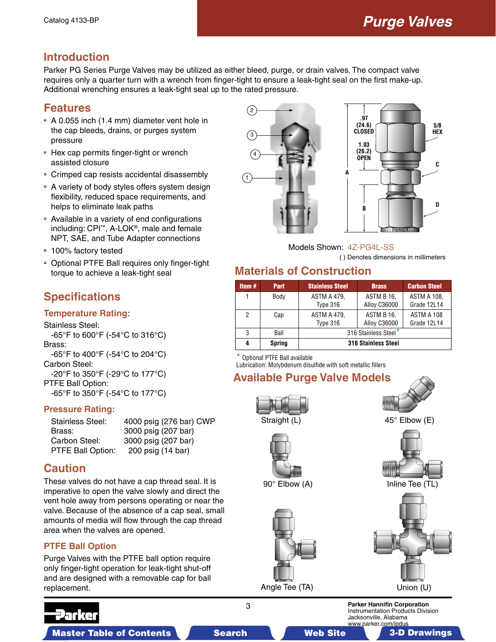# **Introduction**

Parker PG Series Purge Valves may be utilized as either bleed, purge, or drain valves. The compact valve requires only a quarter turn with a wrench from finger-tight to ensure a leak-tight seal on the first make-up. Additional wrenching ensures a leak-tight seal up to the rated pressure.

#### **Features**

- A 0.055 inch (1.4 mm) diameter vent hole in the cap bleeds, drains, or purges system pressure
- Hex cap permits finger-tight or wrench assisted closure
- Crimped cap resists accidental disassembly
- A variety of body styles offers system design flexibility, reduced space requirements, and helps to eliminate leak paths
- Available in a variety of end configurations including: CPI™, A-LOK®, male and female NPT, SAE, and Tube Adapter connections
- 100% factory tested
- Optional PTFE Ball requires only finger-tight torque to achieve a leak-tight seal

# **Specifications**

#### **Temperature Rating:**

Stainless Steel: -65°F to 600°F (-54°C to 316°C) Brass: -65°F to 400°F (-54°C to 204°C) Carbon Steel: -20°F to 350°F (-29°C to 177°C)

PTFE Ball Option: -65°F to 350°F (-54°C to 177°C)

#### **Pressure Rating:**

| Stainless Steel:  | 4000 psig (276 bar) CWP |
|-------------------|-------------------------|
| Brass:            | 3000 psig (207 bar)     |
| Carbon Steel:     | 3000 psig (207 bar)     |
| PTFE Ball Option: | 200 psig (14 bar)       |

### **Caution**

These valves do not have a cap thread seal. It is imperative to open the valve slowly and direct the vent hole away from persons operating or near the valve. Because of the absence of a cap seal, small amounts of media will flow through the cap thread area when the valves are opened.

#### **PTFE Ball Option**

Purge Valves with the PTFE ball option require only finger-tight operation for leak-tight shut-off and are designed with a removable cap for ball replacement.





Models Shown: 47-PG4L-SS

( ) Denotes dimensions in millimeters

### **Materials of Construction**

| Item $#$ | Part          | <b>Stainless Steel</b>         | <b>Brass</b>               | <b>Carbon Steel</b>               |  |  |  |
|----------|---------------|--------------------------------|----------------------------|-----------------------------------|--|--|--|
|          | Body          | <b>ASTM A 479.</b><br>Type 316 | ASTM B 16,<br>Alloy C36000 | <b>ASTM A 108.</b><br>Grade 12L14 |  |  |  |
| 2        | Cap           | <b>ASTM A 479.</b><br>Type 316 | ASTM B 16.<br>Alloy C36000 | ASTM A 108<br>Grade 12L14         |  |  |  |
| 3        | Ball          | 316 Stainless Steel*           |                            |                                   |  |  |  |
| 4        | <b>Spring</b> | 316 Stainless Steel            |                            |                                   |  |  |  |

**\*** Optional PTFE Ball available

Lubrication: Molybdenum disulfide with soft metallic fillers

# **Available Purge Valve Models**



90° Elbow (A)







3 **Parker Hannifin Corporation** Instrumentation Products Division Jacksonville, Alabama www.parker.com/ipdus



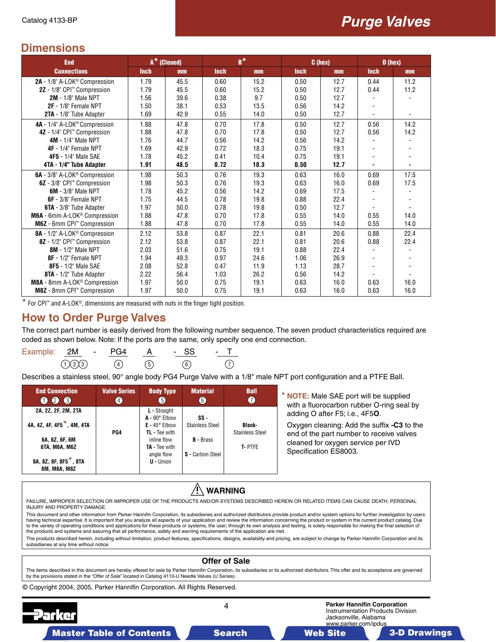#### **Dimensions**

| <b>End</b>                                    | A <sup>*</sup> (Closed) |      |             | $B^*$ |             | C (hex) | D (hex)                  |      |  |
|-----------------------------------------------|-------------------------|------|-------------|-------|-------------|---------|--------------------------|------|--|
| <b>Connections</b>                            | <b>Inch</b>             | mm   | <b>Inch</b> | mm    | <b>Inch</b> | mm      | <b>Inch</b>              | mm   |  |
| 2A - 1/8" A-LOK <sup>®</sup> Compression      | 1.79                    | 45.5 | 0.60        | 15.2  | 0.50        | 12.7    | 0.44                     | 11.2 |  |
| 2Z - 1/8" CPI™ Compression                    | 1.79                    | 45.5 | 0.60        | 15.2  | 0.50        | 12.7    | 0.44                     | 11.2 |  |
| <b>2M - 1/8" Male NPT</b>                     | 1.56                    | 39.6 | 0.38        | 9.7   | 0.50        | 12.7    |                          |      |  |
| 2F - 1/8" Female NPT                          | 1.50                    | 38.1 | 0.53        | 13.5  | 0.56        | 14.2    |                          |      |  |
| 2TA - 1/8" Tube Adapter                       | 1.69                    | 42.9 | 0.55        | 14.0  | 0.50        | 12.7    | $\overline{\phantom{a}}$ |      |  |
| 4A - 1/4" A-LOK <sup>®</sup> Compression      | 1.88                    | 47.8 | 0.70        | 17.8  | 0.50        | 12.7    | 0.56                     | 14.2 |  |
| 4Z - 1/4" CPI™ Compression                    | 1.88                    | 47.8 | 0.70        | 17.8  | 0.50        | 12.7    | 0.56                     | 14.2 |  |
| <b>4M - 1/4" Male NPT</b>                     | 1.76                    | 44.7 | 0.56        | 14.2  | 0.56        | 14.2    |                          |      |  |
| 4F - 1/4" Female NPT                          | 1.69                    | 42.9 | 0.72        | 18.3  | 0.75        | 19.1    |                          |      |  |
| 4F5 - 1/4" Male SAE                           | 1.78                    | 45.2 | 0.41        | 10.4  | 0.75        | 19.1    |                          |      |  |
| 4TA - 1/4" Tube Adapter                       | 1.91                    | 48.5 | 0.72        | 18.3  | 0.50        | 12.7    |                          |      |  |
| 6A - 3/8" A-LOK <sup>®</sup> Compression      | 1.98                    | 50.3 | 0.76        | 19.3  | 0.63        | 16.0    | 0.69                     | 17.5 |  |
| 6Z - 3/8" CPI™ Compression                    | 1.98                    | 50.3 | 0.76        | 19.3  | 0.63        | 16.0    | 0.69                     | 17.5 |  |
| <b>6M</b> - 3/8" Male NPT                     | 1.78                    | 45.2 | 0.56        | 14.2  | 0.69        | 17.5    |                          |      |  |
| 6F - 3/8" Female NPT                          | 1.75                    | 44.5 | 0.78        | 19.8  | 0.88        | 22.4    |                          |      |  |
| 6TA - 3/8" Tube Adapter                       | 1.97                    | 50.0 | 0.78        | 19.8  | 0.50        | 12.7    |                          |      |  |
| M6A - 6mm A-LOK <sup>®</sup> Compression      | 1.88                    | 47.8 | 0.70        | 17.8  | 0.55        | 14.0    | 0.55                     | 14.0 |  |
| M6Z - 6mm CPI™ Compression                    | 1.88                    | 47.8 | 0.70        | 17.8  | 0.55        | 14.0    | 0.55                     | 14.0 |  |
| 8A - 1/2" A-LOK <sup>®</sup> Compression      | 2.12                    | 53.8 | 0.87        | 22.1  | 0.81        | 20.6    | 0.88                     | 22.4 |  |
| 8Z - 1/2" CPI™ Compression                    | 2.12                    | 53.8 | 0.87        | 22.1  | 0.81        | 20.6    | 0.88                     | 22.4 |  |
| 8M - 1/2" Male NPT                            | 2.03                    | 51.6 | 0.75        | 19.1  | 0.88        | 22.4    |                          |      |  |
| 8F - 1/2" Female NPT                          | 1.94                    | 49.3 | 0.97        | 24.6  | 1.06        | 26.9    |                          |      |  |
| 8F5 - 1/2" Male SAE                           | 2.08                    | 52.8 | 0.47        | 11.9  | 1.13        | 28.7    |                          |      |  |
| 8TA - 1/2" Tube Adapter                       | 2.22                    | 56.4 | 1.03        | 26.2  | 0.56        | 14.2    |                          |      |  |
| M8A - 8mm A-LOK <sup>®</sup> Compression      | 1.97                    | 50.0 | 0.75        | 19.1  | 0.63        | 16.0    | 0.63                     | 16.0 |  |
| <b>M8Z</b> - 8mm CPI <sup>™</sup> Compression | 1.97                    | 50.0 | 0.75        | 19.1  | 0.63        | 16.0    | 0.63                     | 16.0 |  |

\* For CPI™ and A-LOK®, dimensions are measured with nuts in the finger tight position.

#### **How to Order Purge Valves**

The correct part number is easily derived from the following number sequence. The seven product characteristics required are coded as shown below. Note: If the ports are the same, only specify one end connection.

| Example: 2M - PG4 |           |     |     | - SS          |           |
|-------------------|-----------|-----|-----|---------------|-----------|
|                   | (1)(2)(3) | (4) | (5) | $\binom{6}{}$ | $\bigcap$ |

Describes a stainless steel, 90° angle body PG4 Purge Valve with a 1/8" male NPT port configuration and a PTFE Ball.

| <b>End Connection</b>                                                                                                                                         | <b>Valve Series</b> | <b>Body Type</b>                                                                                                                             | <b>Material</b>                                                       | <b>Ball</b>                                       | * NOTE: Male SAE port will be supplied                                                                                                                                                  |
|---------------------------------------------------------------------------------------------------------------------------------------------------------------|---------------------|----------------------------------------------------------------------------------------------------------------------------------------------|-----------------------------------------------------------------------|---------------------------------------------------|-----------------------------------------------------------------------------------------------------------------------------------------------------------------------------------------|
| 000                                                                                                                                                           | $\overline{4}$      | 6                                                                                                                                            | $\odot$                                                               | $\bullet$                                         | with a fluorocarbon rubber O-ring seal by                                                                                                                                               |
| 2A, 2Z, 2F, 2M, 2TA<br>4A, 4Z, 4F, 4F5 <sup>*</sup> , 4M, 4TA<br>6A, 6Z, 6F, 6M<br><b>6TA, M6A, M6Z</b><br>8A, 8Z, 8F, 8F5 <sup>*</sup> , 8TA<br>8M, M8A, M8Z | PG4                 | L - Straight<br>$A - 90^\circ$ Elbow<br>$E - 45^{\circ}$ Elbow<br>TL - Tee with<br>inline flow<br>TA - Tee with<br>angle flow<br>$U -$ Union | SS-<br><b>Stainless Steel</b><br><b>B</b> - Brass<br>S - Carbon Steel | <b>Blank-</b><br><b>Stainless Steel</b><br>T-PTFE | adding O after F5; i.e., 4F50.<br>Oxygen cleaning: Add the suffix -C3 to the<br>end of the part number to receive valves<br>cleaned for oxygen service per IVD<br>Specification ES8003. |

# **WARNING**

FAILURE, IMPROPER SELECTION OR IMPROPER USE OF THE PRODUCTS AND/OR SYSTEMS DESCRIBED HEREIN OR RELATED ITEMS CAN CAUSE DEATH, PERSONAL INJURY AND PROPERTY DAMAGE.

This document and other information from Parker Hannifin Corporation, its subsidiaries and authorized distributors provide product and/or system options for further investigation by users having technical expertise. It is important that you analyze all aspects of your application and review the information concerning the product or system in the current product catalog. Due to the variety of operating conditions and applications for these products or systems, the user, through its own analysis and testing, is solely responsible for making the final selection of the products and systems and assuring that all performance, safety and warning requirements of the application are met.

The products described herein, including without limitation, product features, specifications, designs, availability and pricing, are subject to change by Parker Hannifin Corporation and its subsidiaries at any time without notice.

#### 4 **Parker Hannifin Corporation** Instrumentation Products Division Jacksonville, Alabama © Copyright 2004, 2005, Parker Hannifin Corporation. All Rights Reserved. **Offer of Sale** The items described in this document are hereby offered for sale by Parker Hannifin Corporation, its subsidiaries or its authorized distributors. This offer and its acceptance are governed<br>by the provisions stated in the "

Master Table of Contents **The Search Master Table of Contents 3-D Drawings** Search Master Table of Contents 3-D Drawings

www.parker.com/ipdus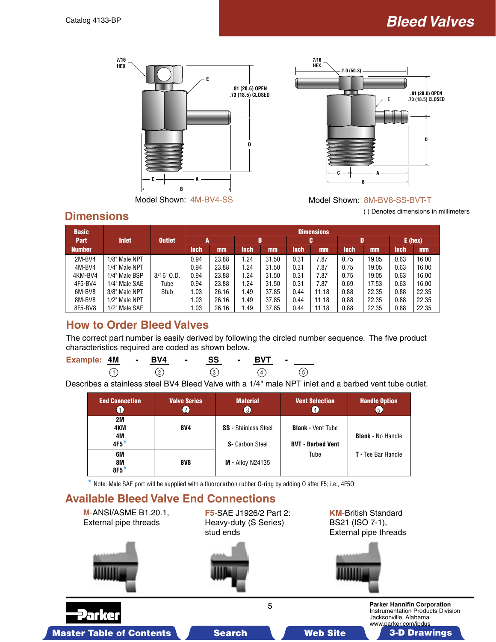





#### **Dimensions**

| <b>Basic</b>  |               |                 | <b>Dimensions</b> |       |           |       |             |       |             |       |             |           |
|---------------|---------------|-----------------|-------------------|-------|-----------|-------|-------------|-------|-------------|-------|-------------|-----------|
| <b>Part</b>   | <b>Inlet</b>  | <b>Outlet</b>   | A                 |       | B         |       |             | c     |             | D     |             | $E$ (hex) |
| <b>Number</b> |               |                 | Inch              | mm    | Inch      | $mm$  | <b>Inch</b> | $mm$  | <b>Inch</b> | mm    | <b>Inch</b> | mm        |
| 2M-BV4        | 1/8" Male NPT |                 | 0.94              | 23.88 | <b>24</b> | 31.50 | 0.31        | 7.87  | 0.75        | 19.05 | 0.63        | 16.00     |
| 4M-BV4        | 1/4" Male NPT |                 | 0.94              | 23.88 | 1.24      | 31.50 | 0.31        | 7.87  | 0.75        | 19.05 | 0.63        | 16.00     |
| 4KM-BV4       | 1/4" Male BSP | $3/16$ " $0.D.$ | 0.94              | 23.88 | 1.24      | 31.50 | 0.31        | 7.87  | 0.75        | 19.05 | 0.63        | 16.00     |
| 4F5-BV4       | 1/4" Male SAE | Tube            | 0.94              | 23.88 | 1.24      | 31.50 | 0.31        | 7.87  | 0.69        | 17.53 | 0.63        | 16.00     |
| 6M-BV8        | 3/8" Male NPT | Stub            | 1.03              | 26.16 | .49       | 37.85 | 0.44        | 11.18 | 0.88        | 22.35 | 0.88        | 22.35     |
| 8M-BV8        | 1/2" Male NPT |                 | 1.03              | 26.16 | .49       | 37.85 | 0.44        | 11.18 | 0.88        | 22.35 | 0.88        | 22.35     |
| 8F5-BV8       | 1/2" Male SAE |                 | 1.03              | 26.16 | .49       | 37.85 | 0.44        | 11.18 | 0.88        | 22.35 | 0.88        | 22.35     |

## **How to Order Bleed Valves**

The correct part number is easily derived by following the circled number sequence. The five product characteristics required are coded as shown below.

| <b>Example: 4M</b> | $\sim$ | BV4 | $\overline{\phantom{a}}$ | SS | $\blacksquare$ | <b>BVT</b> | . . |     |
|--------------------|--------|-----|--------------------------|----|----------------|------------|-----|-----|
|                    |        |     |                          |    |                | $\Delta$   |     | (5) |

Describes a stainless steel BV4 Bleed Valve with a 1/4" male NPT inlet and a barbed vent tube outlet.

| <b>End Connection</b>     | <b>Valve Series</b><br>$\frac{2}{2}$ | <b>Material</b><br>$\left(3\right)$                   | <b>Vent Selection</b><br>$\cdot$ 4.                  | <b>Handle Option</b><br>$\overline{5}$ |
|---------------------------|--------------------------------------|-------------------------------------------------------|------------------------------------------------------|----------------------------------------|
| 2M<br>4KM<br>4M<br>$4F5*$ | <b>BV4</b>                           | <b>SS</b> - Stainless Steel<br><b>S-</b> Carbon Steel | <b>Blank - Vent Tube</b><br><b>BVT - Barbed Vent</b> | <b>Blank - No Handle</b>               |
| 6M<br>8M<br>$8F5*$        | BV <sub>8</sub>                      | <b>M - Alloy N24135</b>                               | Tube                                                 | T - Tee Bar Handle                     |

**\*** Note: Male SAE port will be supplied with a fluorocarbon rubber O-ring by adding O after F5; i.e., 4F5O.

### **Available Bleed Valve End Connections**

**M**-ANSI/ASME B1.20.1, External pipe threads

**F5**-SAE J1926/2 Part 2: Heavy-duty (S Series) stud ends

**KM**-British Standard BS21 (ISO 7-1), External pipe threads





5 **Parker Hannifin Corporation** Instrumentation Products Division Jacksonville, Alabama www.parker.com/ipdus